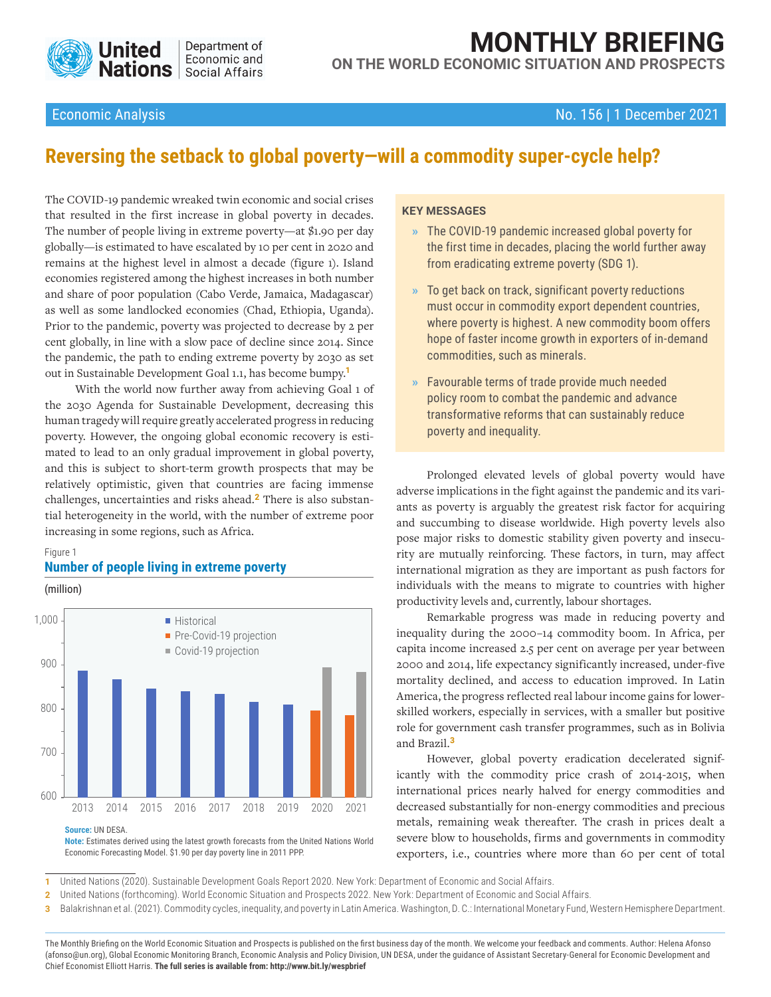

# **MONTHLY BRIEFING**

**ON THE WORLD ECONOMIC SITUATION AND PROSPECTS**

#### Economic Analysis No. 156 | 1 December 2021

## **Reversing the setback to global poverty—will a commodity super-cycle help?**

The COVID-19 pandemic wreaked twin economic and social crises that resulted in the first increase in global poverty in decades. The number of people living in extreme poverty—at \$1.90 per day globally—is estimated to have escalated by 10 per cent in 2020 and remains at the highest level in almost a decade (figure 1). Island economies registered among the highest increases in both number and share of poor population (Cabo Verde, Jamaica, Madagascar) as well as some landlocked economies (Chad, Ethiopia, Uganda). Prior to the pandemic, poverty was projected to decrease by 2 per cent globally, in line with a slow pace of decline since 2014. Since the pandemic, the path to ending extreme poverty by 2030 as set out in Sustainable Development Goal 1.1, has become bumpy.**<sup>1</sup>**

With the world now further away from achieving Goal 1 of the 2030 Agenda for Sustainable Development, decreasing this human tragedy will require greatly accelerated progress in reducing poverty. However, the ongoing global economic recovery is estimated to lead to an only gradual improvement in global poverty, and this is subject to short-term growth prospects that may be relatively optimistic, given that countries are facing immense challenges, uncertainties and risks ahead.**2** There is also substantial heterogeneity in the world, with the number of extreme poor increasing in some regions, such as Africa.

#### Figure 1

### **Number of people living in extreme poverty**

(million)



**Note:** Estimates derived using the latest growth forecasts from the United Nations World Economic Forecasting Model. \$1.90 per day poverty line in 2011 PPP.

#### **KEY MESSAGES**

- **»** The COVID-19 pandemic increased global poverty for the first time in decades, placing the world further away from eradicating extreme poverty (SDG 1).
- **»** To get back on track, significant poverty reductions must occur in commodity export dependent countries, where poverty is highest. A new commodity boom offers hope of faster income growth in exporters of in-demand commodities, such as minerals.
- **»** Favourable terms of trade provide much needed policy room to combat the pandemic and advance transformative reforms that can sustainably reduce poverty and inequality.

Prolonged elevated levels of global poverty would have adverse implications in the fight against the pandemic and its variants as poverty is arguably the greatest risk factor for acquiring and succumbing to disease worldwide. High poverty levels also pose major risks to domestic stability given poverty and insecurity are mutually reinforcing. These factors, in turn, may affect international migration as they are important as push factors for individuals with the means to migrate to countries with higher productivity levels and, currently, labour shortages.

Remarkable progress was made in reducing poverty and inequality during the 2000–14 commodity boom. In Africa, per capita income increased 2.5 per cent on average per year between 2000 and 2014, life expectancy significantly increased, under-five mortality declined, and access to education improved. In Latin America, the progress reflected real labour income gains for lowerskilled workers, especially in services, with a smaller but positive role for government cash transfer programmes, such as in Bolivia and Brazil.**<sup>3</sup>**

However, global poverty eradication decelerated significantly with the commodity price crash of 2014-2015, when international prices nearly halved for energy commodities and decreased substantially for non-energy commodities and precious metals, remaining weak thereafter. The crash in prices dealt a severe blow to households, firms and governments in commodity exporters, i.e., countries where more than 60 per cent of total

**1** United Nations (2020). Sustainable Development Goals Report 2020. New York: Department of Economic and Social Affairs.

**2** United Nations (forthcoming). World Economic Situation and Prospects 2022. New York: Department of Economic and Social Affairs.

**3** Balakrishnan et al. (2021). Commodity cycles, inequality, and poverty in Latin America. Washington, D. C.: International Monetary Fund, Western Hemisphere Department.

The Monthly Briefing on the World Economic Situation and Prospects is published on the first business day of the month. We welcome your feedback and comments. Author: Helena Afonso (afonso@un.org), Global Economic Monitoring Branch, Economic Analysis and Policy Division, UN DESA, under the guidance of Assistant Secretary-General for Economic Development and Chief Economist Elliott Harris. **The full series is available from: [http://www.bit.ly/wespbrief](https://www.un.org/development/desa/dpad/document_gem/global-economic-monitoring-unit/monthly-briefing-on-the-world-economic-situation-and-prospects/)**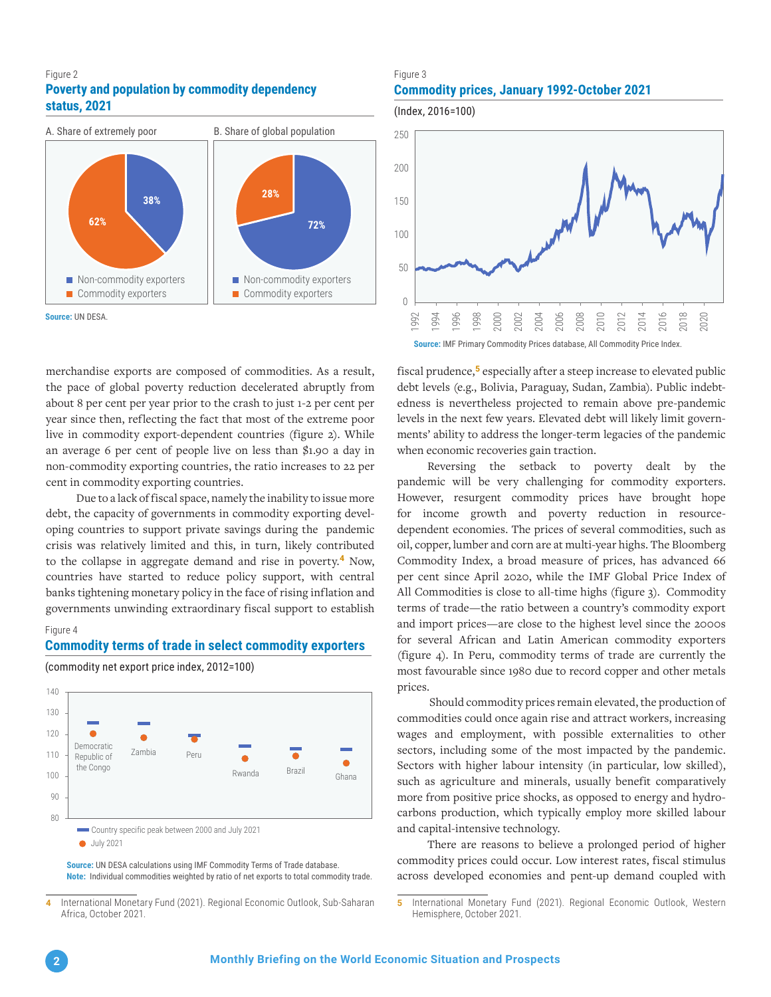#### Figure 2 **Poverty and population by commodity dependency status, 2021**



**Source:** UN DESA.

merchandise exports are composed of commodities. As a result, the pace of global poverty reduction decelerated abruptly from about 8 per cent per year prior to the crash to just 1-2 per cent per year since then, reflecting the fact that most of the extreme poor live in commodity export-dependent countries (figure 2). While an average 6 per cent of people live on less than \$1.90 a day in non-commodity exporting countries, the ratio increases to 22 per cent in commodity exporting countries.

Due to a lack of fiscal space, namely the inability to issue more debt, the capacity of governments in commodity exporting developing countries to support private savings during the pandemic crisis was relatively limited and this, in turn, likely contributed to the collapse in aggregate demand and rise in poverty.**<sup>4</sup>** Now, countries have started to reduce policy support, with central banks tightening monetary policy in the face of rising inflation and governments unwinding extraordinary fiscal support to establish

#### Figure 4

#### **Commodity terms of trade in select commodity exporters**



(commodity net export price index, 2012=100)

**Source:** UN DESA calculations using IMF Commodity Terms of Trade database. **Note:** Individual commodities weighted by ratio of net exports to total commodity trade.

#### Figure 3 **Commodity prices, January 1992-October 2021**



fiscal prudence,**<sup>5</sup>** especially after a steep increase to elevated public debt levels (e.g., Bolivia, Paraguay, Sudan, Zambia). Public indebtedness is nevertheless projected to remain above pre-pandemic levels in the next few years. Elevated debt will likely limit governments' ability to address the longer-term legacies of the pandemic when economic recoveries gain traction.

Reversing the setback to poverty dealt by the pandemic will be very challenging for commodity exporters. However, resurgent commodity prices have brought hope for income growth and poverty reduction in resourcedependent economies. The prices of several commodities, such as oil, copper, lumber and corn are at multi-year highs. The Bloomberg Commodity Index, a broad measure of prices, has advanced 66 per cent since April 2020, while the IMF Global Price Index of All Commodities is close to all-time highs (figure 3). Commodity terms of trade—the ratio between a country's commodity export and import prices—are close to the highest level since the 2000s for several African and Latin American commodity exporters (figure 4). In Peru, commodity terms of trade are currently the most favourable since 1980 due to record copper and other metals prices.

 Should commodity prices remain elevated, the production of commodities could once again rise and attract workers, increasing wages and employment, with possible externalities to other sectors, including some of the most impacted by the pandemic. Sectors with higher labour intensity (in particular, low skilled), such as agriculture and minerals, usually benefit comparatively more from positive price shocks, as opposed to energy and hydrocarbons production, which typically employ more skilled labour and capital-intensive technology.

There are reasons to believe a prolonged period of higher commodity prices could occur. Low interest rates, fiscal stimulus across developed economies and pent-up demand coupled with

**<sup>4</sup>** International Monetary Fund (2021). Regional Economic Outlook, Sub-Saharan Africa, October 2021.

**<sup>5</sup>** International Monetary Fund (2021). Regional Economic Outlook, Western Hemisphere, October 2021.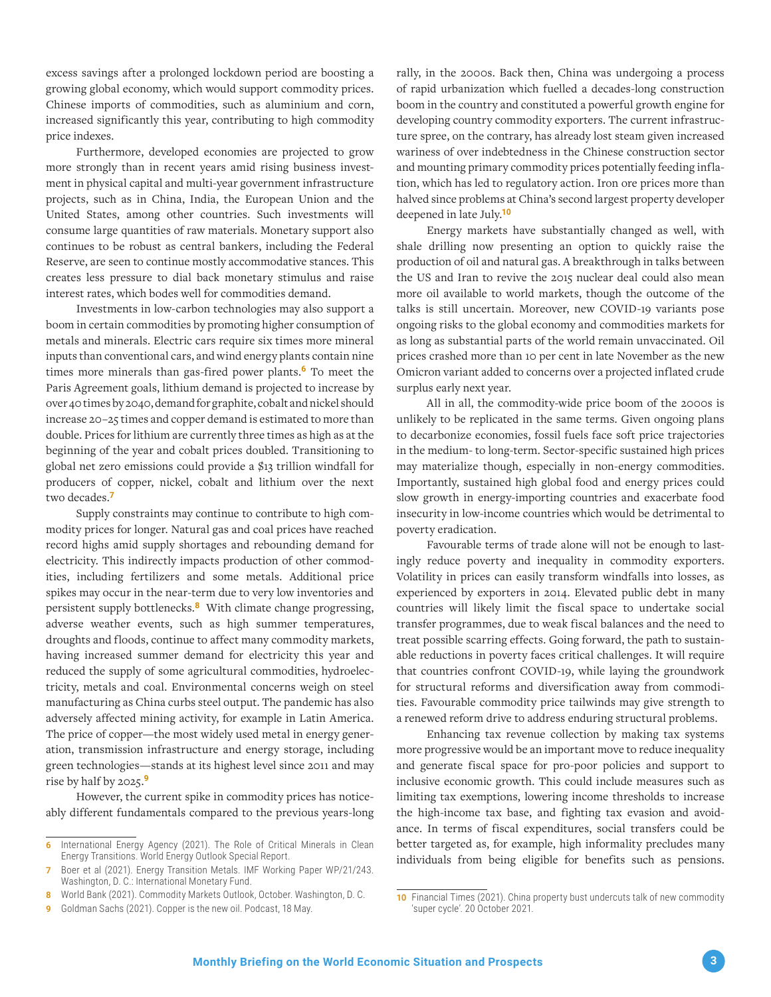excess savings after a prolonged lockdown period are boosting a growing global economy, which would support commodity prices. Chinese imports of commodities, such as aluminium and corn, increased significantly this year, contributing to high commodity price indexes.

Furthermore, developed economies are projected to grow more strongly than in recent years amid rising business investment in physical capital and multi-year government infrastructure projects, such as in China, India, the European Union and the United States, among other countries. Such investments will consume large quantities of raw materials. Monetary support also continues to be robust as central bankers, including the Federal Reserve, are seen to continue mostly accommodative stances. This creates less pressure to dial back monetary stimulus and raise interest rates, which bodes well for commodities demand.

Investments in low-carbon technologies may also support a boom in certain commodities by promoting higher consumption of metals and minerals. Electric cars require six times more mineral inputs than conventional cars, and wind energy plants contain nine times more minerals than gas-fired power plants.**<sup>6</sup>** To meet the Paris Agreement goals, lithium demand is projected to increase by over 40 times by 2040, demand for graphite, cobalt and nickel should increase 20–25 times and copper demand is estimated to more than double. Prices for lithium are currently three times as high as at the beginning of the year and cobalt prices doubled. Transitioning to global net zero emissions could provide a \$13 trillion windfall for producers of copper, nickel, cobalt and lithium over the next two decades.**<sup>7</sup>**

Supply constraints may continue to contribute to high commodity prices for longer. Natural gas and coal prices have reached record highs amid supply shortages and rebounding demand for electricity. This indirectly impacts production of other commodities, including fertilizers and some metals. Additional price spikes may occur in the near-term due to very low inventories and persistent supply bottlenecks.**<sup>8</sup>** With climate change progressing, adverse weather events, such as high summer temperatures, droughts and floods, continue to affect many commodity markets, having increased summer demand for electricity this year and reduced the supply of some agricultural commodities, hydroelectricity, metals and coal. Environmental concerns weigh on steel manufacturing as China curbs steel output. The pandemic has also adversely affected mining activity, for example in Latin America. The price of copper—the most widely used metal in energy generation, transmission infrastructure and energy storage, including green technologies—stands at its highest level since 2011 and may rise by half by 2025.**<sup>9</sup>**

However, the current spike in commodity prices has noticeably different fundamentals compared to the previous years-long rally, in the 2000s. Back then, China was undergoing a process of rapid urbanization which fuelled a decades-long construction boom in the country and constituted a powerful growth engine for developing country commodity exporters. The current infrastructure spree, on the contrary, has already lost steam given increased wariness of over indebtedness in the Chinese construction sector and mounting primary commodity prices potentially feeding inflation, which has led to regulatory action. Iron ore prices more than halved since problems at China's second largest property developer deepened in late July.**<sup>10</sup>**

Energy markets have substantially changed as well, with shale drilling now presenting an option to quickly raise the production of oil and natural gas. A breakthrough in talks between the US and Iran to revive the 2015 nuclear deal could also mean more oil available to world markets, though the outcome of the talks is still uncertain. Moreover, new COVID-19 variants pose ongoing risks to the global economy and commodities markets for as long as substantial parts of the world remain unvaccinated. Oil prices crashed more than 10 per cent in late November as the new Omicron variant added to concerns over a projected inflated crude surplus early next year.

All in all, the commodity-wide price boom of the 2000s is unlikely to be replicated in the same terms. Given ongoing plans to decarbonize economies, fossil fuels face soft price trajectories in the medium- to long-term. Sector-specific sustained high prices may materialize though, especially in non-energy commodities. Importantly, sustained high global food and energy prices could slow growth in energy-importing countries and exacerbate food insecurity in low-income countries which would be detrimental to poverty eradication.

Favourable terms of trade alone will not be enough to lastingly reduce poverty and inequality in commodity exporters. Volatility in prices can easily transform windfalls into losses, as experienced by exporters in 2014. Elevated public debt in many countries will likely limit the fiscal space to undertake social transfer programmes, due to weak fiscal balances and the need to treat possible scarring effects. Going forward, the path to sustainable reductions in poverty faces critical challenges. It will require that countries confront COVID-19, while laying the groundwork for structural reforms and diversification away from commodities. Favourable commodity price tailwinds may give strength to a renewed reform drive to address enduring structural problems.

Enhancing tax revenue collection by making tax systems more progressive would be an important move to reduce inequality and generate fiscal space for pro-poor policies and support to inclusive economic growth. This could include measures such as limiting tax exemptions, lowering income thresholds to increase the high-income tax base, and fighting tax evasion and avoidance. In terms of fiscal expenditures, social transfers could be better targeted as, for example, high informality precludes many individuals from being eligible for benefits such as pensions.

International Energy Agency (2021). The Role of Critical Minerals in Clean Energy Transitions. World Energy Outlook Special Report.

**<sup>7</sup>** Boer et al (2021). Energy Transition Metals. IMF Working Paper WP/21/243. Washington, D. C.: International Monetary Fund.

**<sup>8</sup>** World Bank (2021). Commodity Markets Outlook, October. Washington, D. C.

**<sup>9</sup>** Goldman Sachs (2021). Copper is the new oil. Podcast, 18 May.

**<sup>10</sup>** Financial Times (2021). China property bust undercuts talk of new commodity 'super cycle'. 20 October 2021.